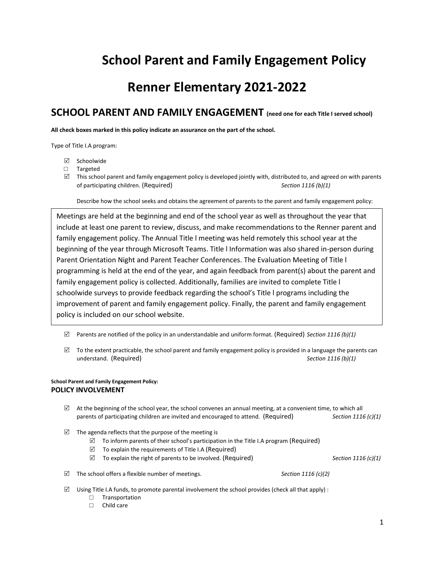# **School Parent and Family Engagement Policy**

## **Renner Elementary 2021-2022**

### **SCHOOL PARENT AND FAMILY ENGAGEMENT (need one for each Title I served school)**

**All check boxes marked in this policy indicate an assurance on the part of the school.** 

Type of Title I.A program:

- $\boxtimes$  Schoolwide
- □ Targeted
- $\boxtimes$  This school parent and family engagement policy is developed jointly with, distributed to, and agreed on with parents of participating children. (Required) *Section 1116 (b)(1)*

Describe how the school seeks and obtains the agreement of parents to the parent and family engagement policy:

Meetings are held at the beginning and end of the school year as well as throughout the year that include at least one parent to review, discuss, and make recommendations to the Renner parent and family engagement policy. The Annual Title l meeting was held remotely this school year at the beginning of the year through Microsoft Teams. Title l Information was also shared in-person during Parent Orientation Night and Parent Teacher Conferences. The Evaluation Meeting of Title l programming is held at the end of the year, and again feedback from parent(s) about the parent and family engagement policy is collected. Additionally, families are invited to complete Title l schoolwide surveys to provide feedback regarding the school's Title l programs including the improvement of parent and family engagement policy. Finally, the parent and family engagement policy is included on our school website.

 $\boxtimes$  Parents are notified of the policy in an understandable and uniform format. (Required) *Section 1116 (b)(1)* 

 $\boxtimes$  To the extent practicable, the school parent and family engagement policy is provided in a language the parents can understand. (Required) *Section 1116 (b)(1)*

#### **School Parent and Family Engagement Policy: POLICY INVOLVEMENT**

- $\boxtimes$  At the beginning of the school year, the school convenes an annual meeting, at a convenient time, to which all parents of participating children are invited and encouraged to attend. (Required) *Section 1116 (c)(1)*
- $\boxtimes$  The agenda reflects that the purpose of the meeting is
	- $\boxtimes$  To inform parents of their school's participation in the Title I.A program (Required)
	- $\triangledown$  To explain the requirements of Title I.A (Required)
	- $\boxtimes$  To explain the right of parents to be involved. (Required) *Section 1116 (c)(1)*

 $\boxtimes$  The school offers a flexible number of meetings. **Section 1116** (c)(2)

 $\boxtimes$  Using Title I.A funds, to promote parental involvement the school provides (check all that apply) :

- □ Transportation
- □ Child care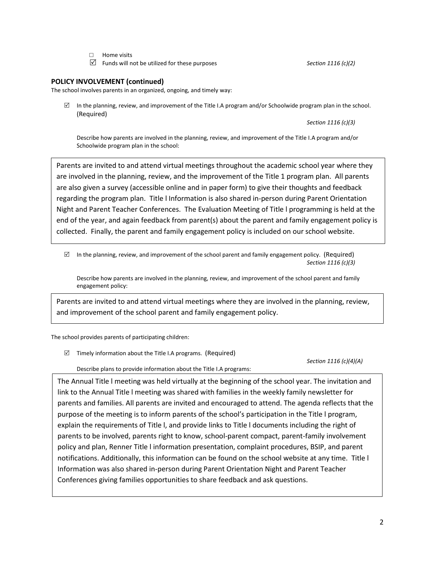- □ Home visits
- Funds will not be utilized for these purposes *Section 1116 (c)(2)*

#### **POLICY INVOLVEMENT (continued)**

The school involves parents in an organized, ongoing, and timely way:

 $\boxtimes$  In the planning, review, and improvement of the Title I.A program and/or Schoolwide program plan in the school. (Required)

*Section 1116 (c)(3)*

Describe how parents are involved in the planning, review, and improvement of the Title I.A program and/or Schoolwide program plan in the school:

Parents are invited to and attend virtual meetings throughout the academic school year where they are involved in the planning, review, and the improvement of the Title 1 program plan. All parents are also given a survey (accessible online and in paper form) to give their thoughts and feedback regarding the program plan. Title l Information is also shared in-person during Parent Orientation Night and Parent Teacher Conferences. The Evaluation Meeting of Title l programming is held at the end of the year, and again feedback from parent(s) about the parent and family engagement policy is collected. Finally, the parent and family engagement policy is included on our school website.

 $\boxtimes$  In the planning, review, and improvement of the school parent and family engagement policy. (Required) *Section 1116 (c)(3)*

Describe how parents are involved in the planning, review, and improvement of the school parent and family engagement policy:

Parents are invited to and attend virtual meetings where they are involved in the planning, review, and improvement of the school parent and family engagement policy.

The school provides parents of participating children:

 $\boxtimes$  Timely information about the Title I.A programs. (Required)

*Section 1116 (c)(4)(A)*

Describe plans to provide information about the Title I.A programs:

The Annual Title l meeting was held virtually at the beginning of the school year. The invitation and link to the Annual Title l meeting was shared with families in the weekly family newsletter for parents and families. All parents are invited and encouraged to attend. The agenda reflects that the purpose of the meeting is to inform parents of the school's participation in the Title l program, explain the requirements of Title l, and provide links to Title l documents including the right of parents to be involved, parents right to know, school-parent compact, parent-family involvement policy and plan, Renner Title l information presentation, complaint procedures, BSIP, and parent notifications. Additionally, this information can be found on the school website at any time. Title l Information was also shared in-person during Parent Orientation Night and Parent Teacher Conferences giving families opportunities to share feedback and ask questions.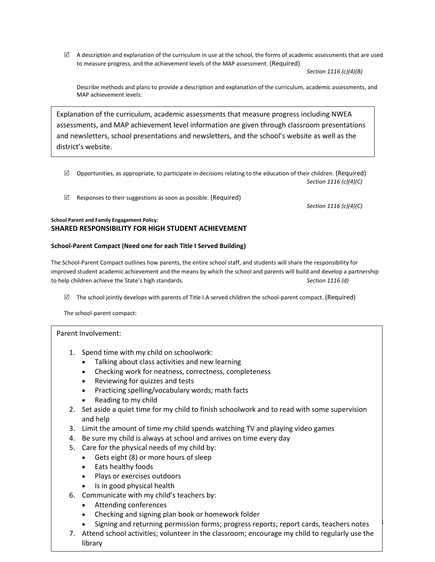$\boxtimes$  A description and explanation of the curriculum in use at the school, the forms of academic assessments that are used to measure progress, and the achievement levels of the MAP assessment. (Required)

*Section 1116 (c)(4)(B)*

Describe methods and plans to provide a description and explanation of the curriculum, academic assessments, and MAP achievement levels:

Explanation of the curriculum, academic assessments that measure progress including NWEA assessments, and MAP achievement level information are given through classroom presentations and newsletters, school presentations and newsletters, and the school's website as well as the district's website.

- $\boxtimes$  Opportunities, as appropriate, to participate in decisions relating to the education of their children. (Required) *Section 1116 (c)(4)(C)*
- $\boxtimes$  Responses to their suggestions as soon as possible. (Required)

*Section 1116 (c)(4)(C)*

3

#### **School Parent and Family Engagement Policy: SHARED RESPONSIBILITY FOR HIGH STUDENT ACHIEVEMENT**

#### **School-Parent Compact (Need one for each Title I Served Building)**

The School-Parent Compact outlines how parents, the entire school staff, and students will share the responsibility for improved student academic achievement and the means by which the school and parents will build and develop a partnership to help children achieve the State's high standards. *Section 1116 (d)*

 $\boxtimes$  The school jointly develops with parents of Title I.A served children the school-parent compact. (Required)

The school-parent compact:

#### Parent Involvement:

- 1. Spend time with my child on schoolwork:
	- Talking about class activities and new learning
- Checking work for neatness, correctness, completeness
	- Reviewing for quizzes and tests **Section 1116 (d)**
	- Practicing spelling/vocabulary words; math facts
	- Reading to my child
- 2. Set aside a quiet time for my child to finish schoolwork and to read with some supervision and help
- 3. Limit the amount of time my child spends watching TV and playing video games
- 4. Be sure my child is always at school and arrives on time every day
- 5. Care for the physical needs of my child by:
	- Gets eight (8) or more hours of sleep
	- Eats healthy foods
	- Plays or exercises outdoors
	- Is in good physical health
- 6. Communicate with my child's teachers by:
	- Attending conferences
	- Checking and signing plan book or homework folder
	- Signing and returning permission forms; progress reports; report cards, teachers notes
- 7. Attend school activities; volunteer in the classroom; encourage my child to regularly use the library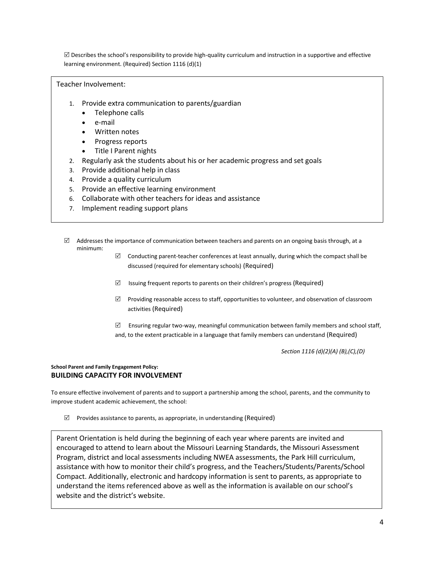$\boxtimes$  Describes the school's responsibility to provide high-quality curriculum and instruction in a supportive and effective learning environment. (Required) Section 1116 (d)(1)

#### Teacher Involvement:

- 1. Provide extra communication to parents/guardian
	- Telephone calls
	- e-mail
	- Written notes
	- Progress reports
	- Title I Parent nights
- 2. Regularly ask the students about his or her academic progress and set goals
- 3. Provide additional help in class
- 4. Provide a quality curriculum
- 5. Provide an effective learning environment
- 6. Collaborate with other teachers for ideas and assistance
- 7. Implement reading support plans
- $\boxtimes$  Addresses the importance of communication between teachers and parents on an ongoing basis through, at a minimum:
	- $\boxtimes$  Conducting parent-teacher conferences at least annually, during which the compact shall be discussed (required for elementary schools) (Required)
	- $\boxtimes$  Issuing frequent reports to parents on their children's progress (Required)
	- $\boxtimes$  Providing reasonable access to staff, opportunities to volunteer, and observation of classroom activities (Required)
	- Ensuring regular two-way, meaningful communication between family members and school staff, and, to the extent practicable in a language that family members can understand (Required)

*Section 1116 (d)(2)(A) (B),(C),(D)*

#### **School Parent and Family Engagement Policy: BUILDING CAPACITY FOR INVOLVEMENT**

To ensure effective involvement of parents and to support a partnership among the school, parents, and the community to improve student academic achievement, the school:

 $\boxtimes$  Provides assistance to parents, as appropriate, in understanding (Required)

the Missouri Learning Standards, and the Missouri Learning Standards, and the Missouri Learning Standards, and Parent Orientation is held during the beginning of each year where parents are invited and encouraged to attend to learn about the Missouri Learning Standards, the Missouri Assessment Program, district and local assessments including NWEA assessments, the Park Hill curriculum, assistance with how to monitor their child's progress, and the Teachers/Students/Parents/School *Section 1116 (e)(1)* Compact. Additionally, electronic and hardcopy information is sent to parents, as appropriate to Les parties to participate: Additionally, creationic and narracely information is sent to parents, as appropriate website and the district's website.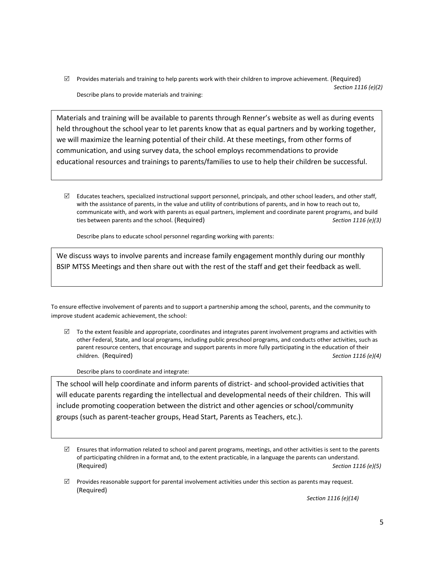$\boxtimes$  Provides materials and training to help parents work with their children to improve achievement. (Required) *Section 1116 (e)(2)* Describe plans to provide materials and training:

Materials and training will be available to parents through Renner's website as well as during events held throughout the school year to let parents know that as equal partners and by working together, we will maximize the learning potential of their child. At these meetings, from other forms of communication, and using survey data, the school employs recommendations to provide educational resources and trainings to parents/families to use to help their children be successful.

 $\boxtimes$  Educates teachers, specialized instructional support personnel, principals, and other school leaders, and other staff, with the assistance of parents, in the value and utility of contributions of parents, and in how to reach out to, communicate with, and work with parents as equal partners, implement and coordinate parent programs, and build ties between parents and the school. (Required) *Section 1116 (e)(3)*

Describe plans to educate school personnel regarding working with parents:

We discuss ways to involve parents and increase family engagement monthly during our monthly BSIP MTSS Meetings and then share out with the rest of the staff and get their feedback as well.

To ensure effective involvement of parents and to support a partnership among the school, parents, and the community to improve student academic achievement, the school:

 $\boxtimes$  To the extent feasible and appropriate, coordinates and integrates parent involvement programs and activities with other Federal, State, and local programs, including public preschool programs, and conducts other activities, such as parent resource centers, that encourage and support parents in more fully participating in the education of their children. (Required) *Section 1116 (e)(4)*

Describe plans to coordinate and integrate:

The school will help coordinate and inform parents of district- and school-provided activities that will educate parents regarding the intellectual and developmental needs of their children. This will include promoting cooperation between the district and other agencies or school/community groups (such as parent-teacher groups, Head Start, Parents as Teachers, etc.).

 $\boxtimes$  Provides reasonable support for parental involvement activities under this section as parents may request. (Required)

*Section 1116 (e)(14)*

 $\boxtimes$  Ensures that information related to school and parent programs, meetings, and other activities is sent to the parents of participating children in a format and, to the extent practicable, in a language the parents can understand. (Required) *Section 1116 (e)(5)*